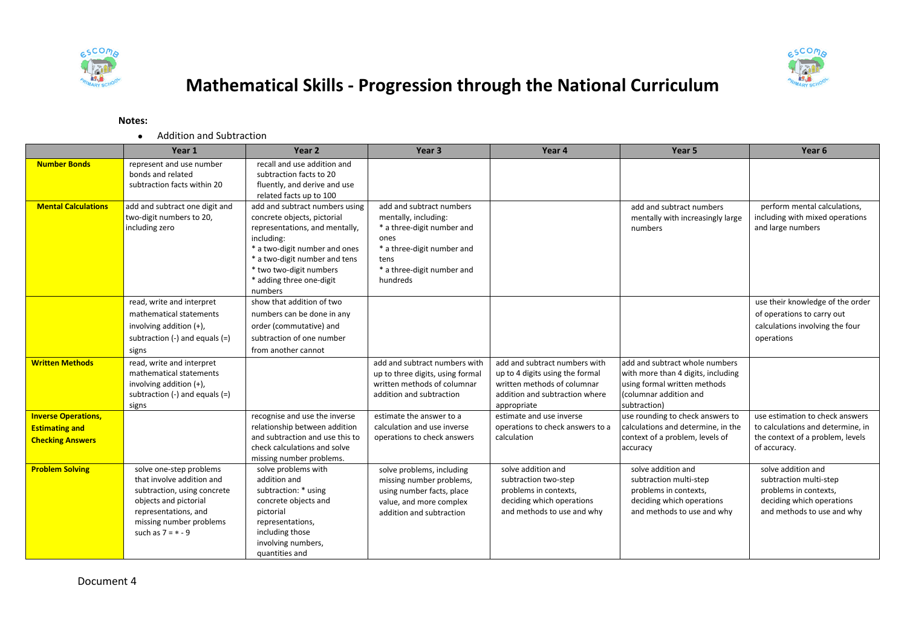



## **Mathematical Skills - Progression through the National Curriculum**

## **Notes:**

Addition and Subtraction

|                            | Year 1                                                   | Year 2                                                    | Year <sub>3</sub>                                   | Year 4                                        | Year 5                                          | Year 6                                          |
|----------------------------|----------------------------------------------------------|-----------------------------------------------------------|-----------------------------------------------------|-----------------------------------------------|-------------------------------------------------|-------------------------------------------------|
| <b>Number Bonds</b>        | represent and use number                                 | recall and use addition and                               |                                                     |                                               |                                                 |                                                 |
|                            | bonds and related                                        | subtraction facts to 20                                   |                                                     |                                               |                                                 |                                                 |
|                            | subtraction facts within 20                              | fluently, and derive and use                              |                                                     |                                               |                                                 |                                                 |
| <b>Mental Calculations</b> | add and subtract one digit and                           | related facts up to 100<br>add and subtract numbers using | add and subtract numbers                            |                                               | add and subtract numbers                        | perform mental calculations,                    |
|                            | two-digit numbers to 20,                                 | concrete objects, pictorial                               | mentally, including:                                |                                               | mentally with increasingly large                | including with mixed operations                 |
|                            | including zero                                           | representations, and mentally,                            | * a three-digit number and                          |                                               | numbers                                         | and large numbers                               |
|                            |                                                          | including:                                                | ones                                                |                                               |                                                 |                                                 |
|                            |                                                          | * a two-digit number and ones                             | * a three-digit number and                          |                                               |                                                 |                                                 |
|                            |                                                          | * a two-digit number and tens                             | tens                                                |                                               |                                                 |                                                 |
|                            |                                                          | * two two-digit numbers                                   | * a three-digit number and                          |                                               |                                                 |                                                 |
|                            |                                                          | * adding three one-digit                                  | hundreds                                            |                                               |                                                 |                                                 |
|                            |                                                          | numbers                                                   |                                                     |                                               |                                                 |                                                 |
|                            | read, write and interpret                                | show that addition of two                                 |                                                     |                                               |                                                 | use their knowledge of the order                |
|                            | mathematical statements                                  | numbers can be done in any                                |                                                     |                                               |                                                 | of operations to carry out                      |
|                            | involving addition (+),                                  | order (commutative) and                                   |                                                     |                                               |                                                 | calculations involving the four                 |
|                            | subtraction $(-)$ and equals $(=)$                       | subtraction of one number                                 |                                                     |                                               |                                                 | operations                                      |
|                            | signs                                                    | from another cannot                                       |                                                     |                                               |                                                 |                                                 |
| <b>Written Methods</b>     | read, write and interpret                                |                                                           | add and subtract numbers with                       | add and subtract numbers with                 | add and subtract whole numbers                  |                                                 |
|                            | mathematical statements                                  |                                                           | up to three digits, using formal                    | up to 4 digits using the formal               | with more than 4 digits, including              |                                                 |
|                            | involving addition (+),                                  |                                                           | written methods of columnar                         | written methods of columnar                   | using formal written methods                    |                                                 |
|                            | subtraction $(-)$ and equals $(=)$                       |                                                           | addition and subtraction                            | addition and subtraction where                | (columnar addition and                          |                                                 |
|                            | signs                                                    |                                                           |                                                     | appropriate                                   | subtraction)                                    |                                                 |
| <b>Inverse Operations,</b> |                                                          | recognise and use the inverse                             | estimate the answer to a                            | estimate and use inverse                      | use rounding to check answers to                | use estimation to check answers                 |
| <b>Estimating and</b>      |                                                          | relationship between addition                             | calculation and use inverse                         | operations to check answers to a              | calculations and determine, in the              | to calculations and determine, in               |
| <b>Checking Answers</b>    |                                                          | and subtraction and use this to                           | operations to check answers                         | calculation                                   | context of a problem, levels of                 | the context of a problem, levels                |
|                            |                                                          | check calculations and solve                              |                                                     |                                               | accuracy                                        | of accuracy.                                    |
|                            |                                                          | missing number problems.                                  |                                                     |                                               |                                                 |                                                 |
| <b>Problem Solving</b>     | solve one-step problems                                  | solve problems with                                       | solve problems, including                           | solve addition and                            | solve addition and                              | solve addition and                              |
|                            | that involve addition and<br>subtraction, using concrete | addition and<br>subtraction: * using                      | missing number problems,                            | subtraction two-step<br>problems in contexts, | subtraction multi-step<br>problems in contexts, | subtraction multi-step<br>problems in contexts, |
|                            | objects and pictorial                                    | concrete objects and                                      | using number facts, place                           | deciding which operations                     | deciding which operations                       | deciding which operations                       |
|                            | representations, and                                     | pictorial                                                 | value, and more complex<br>addition and subtraction | and methods to use and why                    | and methods to use and why                      | and methods to use and why                      |
|                            | missing number problems                                  | representations,                                          |                                                     |                                               |                                                 |                                                 |
|                            | such as $7 = * - 9$                                      | including those                                           |                                                     |                                               |                                                 |                                                 |
|                            |                                                          | involving numbers,                                        |                                                     |                                               |                                                 |                                                 |
|                            |                                                          | quantities and                                            |                                                     |                                               |                                                 |                                                 |